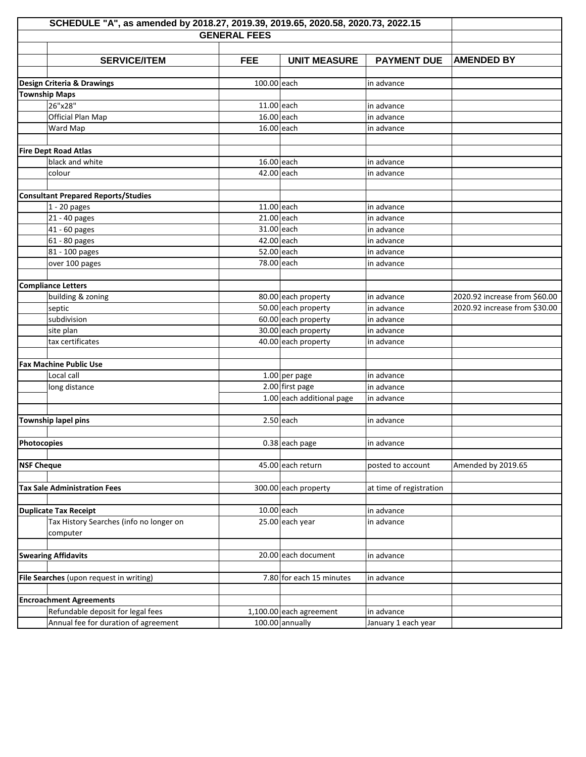|                            | SCHEDULE "A", as amended by 2018.27, 2019.39, 2019.65, 2020.58, 2020.73, 2022.15 |                     |                           |                         |                               |
|----------------------------|----------------------------------------------------------------------------------|---------------------|---------------------------|-------------------------|-------------------------------|
|                            |                                                                                  | <b>GENERAL FEES</b> |                           |                         |                               |
|                            |                                                                                  |                     |                           |                         |                               |
|                            | <b>SERVICE/ITEM</b>                                                              | <b>FEE</b>          | <b>UNIT MEASURE</b>       | <b>PAYMENT DUE</b>      | <b>AMENDED BY</b>             |
|                            |                                                                                  |                     |                           |                         |                               |
|                            | Design Criteria & Drawings                                                       | 100.00 each         |                           | in advance              |                               |
|                            | <b>Township Maps</b>                                                             |                     |                           |                         |                               |
|                            | 26"x28"                                                                          | $11.00$ each        |                           | in advance              |                               |
|                            | Official Plan Map                                                                | $16.00$ each        |                           | in advance              |                               |
|                            | Ward Map                                                                         | 16.00 each          |                           | in advance              |                               |
|                            |                                                                                  |                     |                           |                         |                               |
|                            | <b>Fire Dept Road Atlas</b>                                                      |                     |                           |                         |                               |
|                            | black and white                                                                  | 16.00 each          |                           | in advance              |                               |
|                            | colour                                                                           | 42.00 each          |                           | in advance              |                               |
|                            |                                                                                  |                     |                           |                         |                               |
|                            | <b>Consultant Prepared Reports/Studies</b>                                       |                     |                           |                         |                               |
|                            | $1 - 20$ pages                                                                   | $11.00$ each        |                           | in advance              |                               |
|                            | 21 - 40 pages                                                                    | 21.00 each          |                           | in advance              |                               |
|                            | 41 - 60 pages                                                                    | 31.00 each          |                           | in advance              |                               |
|                            | 61 - 80 pages                                                                    | 42.00 each          |                           | in advance              |                               |
|                            | 81 - 100 pages                                                                   | 52.00 each          |                           | in advance              |                               |
|                            | over 100 pages                                                                   | 78.00 each          |                           | in advance              |                               |
|                            |                                                                                  |                     |                           |                         |                               |
|                            | <b>Compliance Letters</b>                                                        |                     |                           |                         |                               |
|                            | building & zoning                                                                |                     | 80.00 each property       | in advance              | 2020.92 increase from \$60.00 |
|                            | septic                                                                           |                     | 50.00 each property       | in advance              | 2020.92 increase from \$30.00 |
|                            | subdivision                                                                      |                     | 60.00 each property       | in advance              |                               |
|                            | site plan                                                                        |                     | 30.00 each property       | in advance              |                               |
|                            | tax certificates                                                                 |                     | 40.00 each property       | in advance              |                               |
|                            |                                                                                  |                     |                           |                         |                               |
|                            | <b>Fax Machine Public Use</b>                                                    |                     |                           |                         |                               |
|                            | Local call                                                                       |                     | $1.00$ per page           | in advance              |                               |
|                            | long distance                                                                    |                     | $2.00$ first page         | in advance              |                               |
|                            |                                                                                  |                     | 1.00 each additional page | in advance              |                               |
|                            |                                                                                  |                     |                           |                         |                               |
|                            | Township lapel pins                                                              |                     | $2.50$ each               | in advance              |                               |
|                            |                                                                                  |                     |                           |                         |                               |
| Photocopies                |                                                                                  |                     | 0.38 each page            | in advance              |                               |
|                            |                                                                                  |                     |                           |                         |                               |
| <b>NSF Cheque</b>          |                                                                                  |                     | 45.00 each return         | posted to account       | Amended by 2019.65            |
|                            |                                                                                  |                     |                           |                         |                               |
|                            | <b>Tax Sale Administration Fees</b>                                              |                     | 300.00 each property      | at time of registration |                               |
|                            |                                                                                  |                     |                           |                         |                               |
|                            | <b>Duplicate Tax Receipt</b>                                                     | 10.00 each          |                           | in advance              |                               |
|                            | Tax History Searches (info no longer on                                          |                     | 25.00 each year           | in advance              |                               |
|                            | computer                                                                         |                     |                           |                         |                               |
|                            |                                                                                  |                     |                           |                         |                               |
| <b>Swearing Affidavits</b> |                                                                                  |                     | 20.00 each document       | in advance              |                               |
|                            |                                                                                  |                     |                           |                         |                               |
|                            | File Searches (upon request in writing)                                          |                     | 7.80 for each 15 minutes  | in advance              |                               |
|                            |                                                                                  |                     |                           |                         |                               |
|                            | <b>Encroachment Agreements</b>                                                   |                     |                           |                         |                               |
|                            | Refundable deposit for legal fees                                                |                     | $1,100.00$ each agreement | in advance              |                               |
|                            | Annual fee for duration of agreement                                             |                     | 100.00 annually           | January 1 each year     |                               |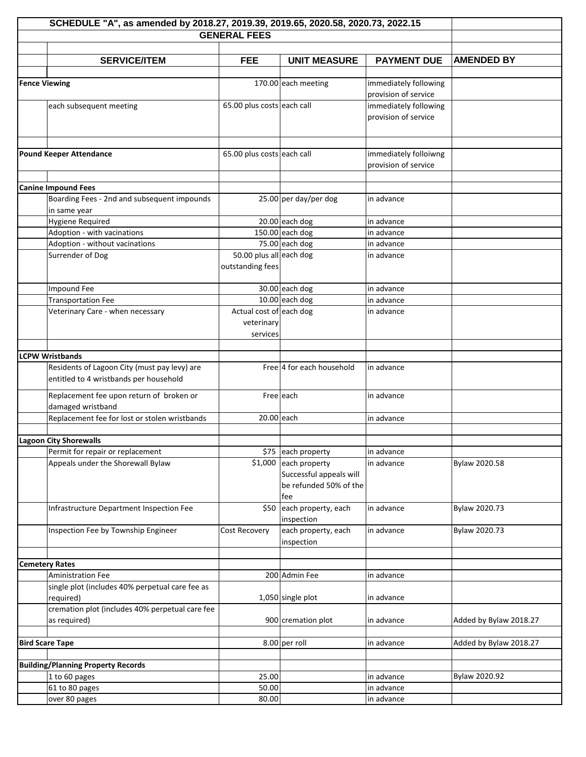| SCHEDULE "A", as amended by 2018.27, 2019.39, 2019.65, 2020.58, 2020.73, 2022.15       |                            |                           |                       |                        |  |
|----------------------------------------------------------------------------------------|----------------------------|---------------------------|-----------------------|------------------------|--|
| <b>GENERAL FEES</b>                                                                    |                            |                           |                       |                        |  |
|                                                                                        |                            |                           |                       |                        |  |
| <b>SERVICE/ITEM</b>                                                                    | <b>FEE</b>                 | <b>UNIT MEASURE</b>       | <b>PAYMENT DUE</b>    | <b>AMENDED BY</b>      |  |
| <b>Fence Viewing</b>                                                                   |                            | 170.00 each meeting       | immediately following |                        |  |
|                                                                                        |                            |                           | provision of service  |                        |  |
| each subsequent meeting                                                                | 65.00 plus costs each call |                           | immediately following |                        |  |
|                                                                                        |                            |                           | provision of service  |                        |  |
|                                                                                        |                            |                           |                       |                        |  |
|                                                                                        |                            |                           |                       |                        |  |
| <b>Pound Keeper Attendance</b>                                                         | 65.00 plus costs each call |                           | immediately folloiwng |                        |  |
|                                                                                        |                            |                           | provision of service  |                        |  |
|                                                                                        |                            |                           |                       |                        |  |
| <b>Canine Impound Fees</b>                                                             |                            |                           |                       |                        |  |
| Boarding Fees - 2nd and subsequent impounds                                            |                            | 25.00 per day/per dog     | in advance            |                        |  |
| in same year                                                                           |                            |                           |                       |                        |  |
| <b>Hygiene Required</b>                                                                |                            | $20.00$ each dog          | in advance            |                        |  |
| Adoption - with vacinations                                                            |                            | $150.00$ each dog         | in advance            |                        |  |
| Adoption - without vacinations                                                         |                            | 75.00 each dog            | in advance            |                        |  |
| Surrender of Dog                                                                       | 50.00 plus all each dog    |                           | in advance            |                        |  |
|                                                                                        | outstanding fees           |                           |                       |                        |  |
| Impound Fee                                                                            |                            | 30.00 each dog            | in advance            |                        |  |
| <b>Transportation Fee</b>                                                              |                            | $10.00$ each dog          | in advance            |                        |  |
| Veterinary Care - when necessary                                                       | Actual cost of each dog    |                           | in advance            |                        |  |
|                                                                                        | veterinary                 |                           |                       |                        |  |
|                                                                                        | services                   |                           |                       |                        |  |
|                                                                                        |                            |                           |                       |                        |  |
| <b>LCPW Wristbands</b>                                                                 |                            |                           |                       |                        |  |
| Residents of Lagoon City (must pay levy) are<br>entitled to 4 wristbands per household |                            | Free 4 for each household | in advance            |                        |  |
|                                                                                        |                            |                           |                       |                        |  |
| Replacement fee upon return of broken or                                               |                            | Free each                 | in advance            |                        |  |
| damaged wristband                                                                      | 20.00 each                 |                           |                       |                        |  |
| Replacement fee for lost or stolen wristbands                                          |                            |                           | in advance            |                        |  |
| <b>Lagoon City Shorewalls</b>                                                          |                            |                           |                       |                        |  |
| Permit for repair or replacement                                                       |                            | \$75 each property        | in advance            |                        |  |
| Appeals under the Shorewall Bylaw                                                      |                            | $$1,000$ each property    | in advance            | Bylaw 2020.58          |  |
|                                                                                        |                            | Successful appeals will   |                       |                        |  |
|                                                                                        |                            | be refunded 50% of the    |                       |                        |  |
|                                                                                        |                            | fee                       |                       |                        |  |
| Infrastructure Department Inspection Fee                                               | \$50                       | each property, each       | in advance            | Bylaw 2020.73          |  |
|                                                                                        |                            | inspection                |                       |                        |  |
| Inspection Fee by Township Engineer                                                    | Cost Recovery              | each property, each       | in advance            | Bylaw 2020.73          |  |
|                                                                                        |                            | inspection                |                       |                        |  |
| <b>Cemetery Rates</b>                                                                  |                            |                           |                       |                        |  |
| <b>Aministration Fee</b>                                                               |                            | 200 Admin Fee             | in advance            |                        |  |
| single plot (includes 40% perpetual care fee as                                        |                            |                           |                       |                        |  |
| required)                                                                              |                            | 1,050 single plot         | in advance            |                        |  |
| cremation plot (includes 40% perpetual care fee                                        |                            |                           |                       |                        |  |
| as required)                                                                           |                            | 900 cremation plot        | in advance            | Added by Bylaw 2018.27 |  |
|                                                                                        |                            |                           |                       |                        |  |
| <b>Bird Scare Tape</b>                                                                 |                            | 8.00 per roll             | in advance            | Added by Bylaw 2018.27 |  |
|                                                                                        |                            |                           |                       |                        |  |
| <b>Building/Planning Property Records</b>                                              |                            |                           |                       |                        |  |
| 1 to 60 pages                                                                          | 25.00                      |                           | in advance            | Bylaw 2020.92          |  |
| 61 to 80 pages                                                                         | 50.00                      |                           | in advance            |                        |  |
| over 80 pages                                                                          | 80.00                      |                           | in advance            |                        |  |